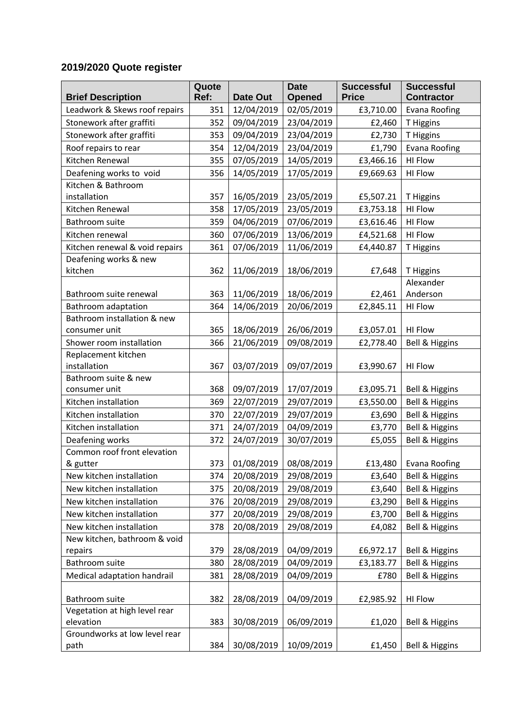## **2019/2020 Quote register**

|                                     | Quote |            | <b>Date</b>   | <b>Successful</b> | <b>Successful</b>         |
|-------------------------------------|-------|------------|---------------|-------------------|---------------------------|
| <b>Brief Description</b>            | Ref:  | Date Out   | <b>Opened</b> | <b>Price</b>      | <b>Contractor</b>         |
| Leadwork & Skews roof repairs       | 351   | 12/04/2019 | 02/05/2019    | £3,710.00         | <b>Evana Roofing</b>      |
| Stonework after graffiti            | 352   | 09/04/2019 | 23/04/2019    | £2,460            | T Higgins                 |
| Stonework after graffiti            | 353   | 09/04/2019 | 23/04/2019    | £2,730            | T Higgins                 |
| Roof repairs to rear                | 354   | 12/04/2019 | 23/04/2019    | £1,790            | <b>Evana Roofing</b>      |
| Kitchen Renewal                     | 355   | 07/05/2019 | 14/05/2019    | £3,466.16         | HI Flow                   |
| Deafening works to void             | 356   | 14/05/2019 | 17/05/2019    | £9,669.63         | <b>HI Flow</b>            |
| Kitchen & Bathroom                  |       |            |               |                   |                           |
| installation                        | 357   | 16/05/2019 | 23/05/2019    | £5,507.21         | T Higgins                 |
| Kitchen Renewal                     | 358   | 17/05/2019 | 23/05/2019    | £3,753.18         | <b>HI Flow</b>            |
| Bathroom suite                      | 359   | 04/06/2019 | 07/06/2019    | £3,616.46         | <b>HI Flow</b>            |
| Kitchen renewal                     | 360   | 07/06/2019 | 13/06/2019    | £4,521.68         | HI Flow                   |
| Kitchen renewal & void repairs      | 361   | 07/06/2019 | 11/06/2019    | £4,440.87         | T Higgins                 |
| Deafening works & new               |       |            |               |                   |                           |
| kitchen                             | 362   | 11/06/2019 | 18/06/2019    | £7,648            | T Higgins                 |
|                                     |       |            |               |                   | Alexander                 |
| Bathroom suite renewal              | 363   | 11/06/2019 | 18/06/2019    | £2,461            | Anderson                  |
| Bathroom adaptation                 | 364   | 14/06/2019 | 20/06/2019    | £2,845.11         | HI Flow                   |
| Bathroom installation & new         |       |            |               |                   |                           |
| consumer unit                       | 365   | 18/06/2019 | 26/06/2019    | £3,057.01         | HI Flow                   |
| Shower room installation            | 366   | 21/06/2019 | 09/08/2019    | £2,778.40         | Bell & Higgins            |
| Replacement kitchen<br>installation | 367   | 03/07/2019 | 09/07/2019    |                   | HI Flow                   |
| Bathroom suite & new                |       |            |               | £3,990.67         |                           |
| consumer unit                       | 368   | 09/07/2019 | 17/07/2019    | £3,095.71         | Bell & Higgins            |
| Kitchen installation                | 369   | 22/07/2019 | 29/07/2019    | £3,550.00         | Bell & Higgins            |
| Kitchen installation                | 370   | 22/07/2019 | 29/07/2019    | £3,690            | Bell & Higgins            |
| Kitchen installation                | 371   | 24/07/2019 | 04/09/2019    | £3,770            | Bell & Higgins            |
| Deafening works                     | 372   | 24/07/2019 | 30/07/2019    | £5,055            | Bell & Higgins            |
| Common roof front elevation         |       |            |               |                   |                           |
| & gutter                            | 373   | 01/08/2019 | 08/08/2019    | £13,480           | Evana Roofing             |
| New kitchen installation            | 374   | 20/08/2019 | 29/08/2019    | £3,640            | Bell & Higgins            |
| New kitchen installation            | 375   | 20/08/2019 | 29/08/2019    | £3,640            | Bell & Higgins            |
| New kitchen installation            | 376   | 20/08/2019 | 29/08/2019    | £3,290            | Bell & Higgins            |
| New kitchen installation            | 377   | 20/08/2019 | 29/08/2019    | £3,700            | <b>Bell &amp; Higgins</b> |
| New kitchen installation            | 378   | 20/08/2019 | 29/08/2019    | £4,082            | Bell & Higgins            |
| New kitchen, bathroom & void        |       |            |               |                   |                           |
| repairs                             | 379   | 28/08/2019 | 04/09/2019    | £6,972.17         | Bell & Higgins            |
| Bathroom suite                      | 380   | 28/08/2019 | 04/09/2019    | £3,183.77         | Bell & Higgins            |
| Medical adaptation handrail         | 381   | 28/08/2019 | 04/09/2019    | £780              | <b>Bell &amp; Higgins</b> |
|                                     |       |            |               |                   |                           |
| Bathroom suite                      | 382   | 28/08/2019 | 04/09/2019    | £2,985.92         | <b>HI Flow</b>            |
| Vegetation at high level rear       |       |            |               |                   |                           |
| elevation                           | 383   | 30/08/2019 | 06/09/2019    | £1,020            | Bell & Higgins            |
| Groundworks at low level rear       |       |            |               |                   |                           |
| path                                | 384   | 30/08/2019 | 10/09/2019    | £1,450            | Bell & Higgins            |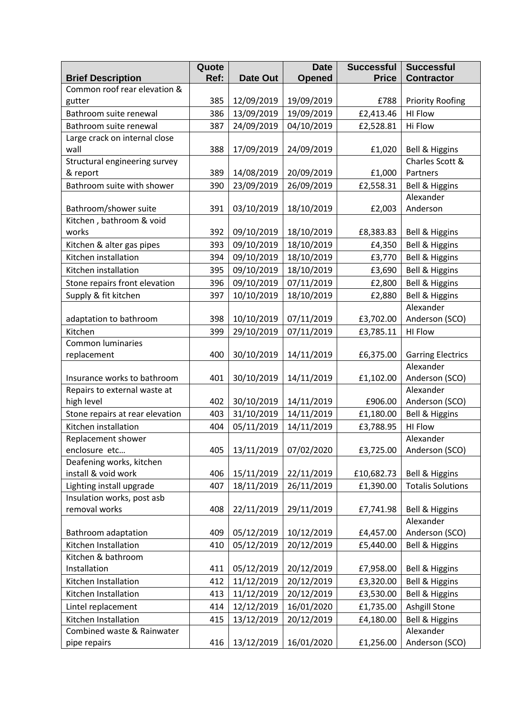|                                            | Quote |            | <b>Date</b>   | <b>Successful</b> | <b>Successful</b>           |
|--------------------------------------------|-------|------------|---------------|-------------------|-----------------------------|
| <b>Brief Description</b>                   | Ref:  | Date Out   | <b>Opened</b> | <b>Price</b>      | <b>Contractor</b>           |
| Common roof rear elevation &               |       |            |               |                   |                             |
| gutter                                     | 385   | 12/09/2019 | 19/09/2019    | £788              | <b>Priority Roofing</b>     |
| Bathroom suite renewal                     | 386   | 13/09/2019 | 19/09/2019    | £2,413.46         | <b>HI Flow</b>              |
| Bathroom suite renewal                     | 387   | 24/09/2019 | 04/10/2019    | £2,528.81         | Hi Flow                     |
| Large crack on internal close              |       |            |               |                   |                             |
| wall                                       | 388   | 17/09/2019 | 24/09/2019    | £1,020            | <b>Bell &amp; Higgins</b>   |
| Structural engineering survey              |       |            |               |                   | Charles Scott &             |
| & report                                   | 389   | 14/08/2019 | 20/09/2019    | £1,000            | Partners                    |
| Bathroom suite with shower                 | 390   | 23/09/2019 | 26/09/2019    | £2,558.31         | Bell & Higgins              |
|                                            |       |            |               |                   | Alexander                   |
| Bathroom/shower suite                      | 391   | 03/10/2019 | 18/10/2019    | £2,003            | Anderson                    |
| Kitchen, bathroom & void                   |       |            |               |                   |                             |
| works                                      | 392   | 09/10/2019 | 18/10/2019    | £8,383.83         | <b>Bell &amp; Higgins</b>   |
| Kitchen & alter gas pipes                  | 393   | 09/10/2019 | 18/10/2019    | £4,350            | Bell & Higgins              |
| Kitchen installation                       | 394   | 09/10/2019 | 18/10/2019    | £3,770            | Bell & Higgins              |
| Kitchen installation                       | 395   | 09/10/2019 | 18/10/2019    | £3,690            | Bell & Higgins              |
| Stone repairs front elevation              | 396   | 09/10/2019 | 07/11/2019    | £2,800            | Bell & Higgins              |
| Supply & fit kitchen                       | 397   | 10/10/2019 | 18/10/2019    | £2,880            | Bell & Higgins              |
|                                            |       |            |               |                   | Alexander                   |
| adaptation to bathroom                     | 398   | 10/10/2019 | 07/11/2019    | £3,702.00         | Anderson (SCO)              |
| Kitchen                                    | 399   | 29/10/2019 | 07/11/2019    | £3,785.11         | <b>HI Flow</b>              |
| <b>Common luminaries</b>                   |       |            |               |                   |                             |
| replacement                                | 400   | 30/10/2019 | 14/11/2019    | £6,375.00         | <b>Garring Electrics</b>    |
|                                            |       |            |               |                   | Alexander                   |
| Insurance works to bathroom                | 401   | 30/10/2019 | 14/11/2019    | £1,102.00         | Anderson (SCO)              |
| Repairs to external waste at<br>high level | 402   |            |               | £906.00           | Alexander                   |
|                                            |       | 30/10/2019 | 14/11/2019    |                   | Anderson (SCO)              |
| Stone repairs at rear elevation            | 403   | 31/10/2019 | 14/11/2019    | £1,180.00         | <b>Bell &amp; Higgins</b>   |
| Kitchen installation                       | 404   | 05/11/2019 | 14/11/2019    | £3,788.95         | <b>HI Flow</b>              |
| Replacement shower<br>enclosure etc        | 405   | 13/11/2019 | 07/02/2020    |                   | Alexander<br>Anderson (SCO) |
| Deafening works, kitchen                   |       |            |               | £3,725.00         |                             |
| install & void work                        | 406   | 15/11/2019 | 22/11/2019    | £10,682.73        | <b>Bell &amp; Higgins</b>   |
| Lighting install upgrade                   | 407   | 18/11/2019 | 26/11/2019    | £1,390.00         | <b>Totalis Solutions</b>    |
| Insulation works, post asb                 |       |            |               |                   |                             |
| removal works                              | 408   | 22/11/2019 | 29/11/2019    | £7,741.98         | <b>Bell &amp; Higgins</b>   |
|                                            |       |            |               |                   | Alexander                   |
| Bathroom adaptation                        | 409   | 05/12/2019 | 10/12/2019    | £4,457.00         | Anderson (SCO)              |
| Kitchen Installation                       | 410   | 05/12/2019 | 20/12/2019    | £5,440.00         | <b>Bell &amp; Higgins</b>   |
| Kitchen & bathroom                         |       |            |               |                   |                             |
| Installation                               | 411   | 05/12/2019 | 20/12/2019    | £7,958.00         | <b>Bell &amp; Higgins</b>   |
| Kitchen Installation                       | 412   | 11/12/2019 | 20/12/2019    | £3,320.00         | <b>Bell &amp; Higgins</b>   |
| Kitchen Installation                       | 413   | 11/12/2019 | 20/12/2019    | £3,530.00         | Bell & Higgins              |
| Lintel replacement                         | 414   | 12/12/2019 | 16/01/2020    | £1,735.00         | Ashgill Stone               |
| Kitchen Installation                       | 415   | 13/12/2019 | 20/12/2019    | £4,180.00         | Bell & Higgins              |
| Combined waste & Rainwater                 |       |            |               |                   | Alexander                   |
| pipe repairs                               | 416   | 13/12/2019 | 16/01/2020    | £1,256.00         | Anderson (SCO)              |